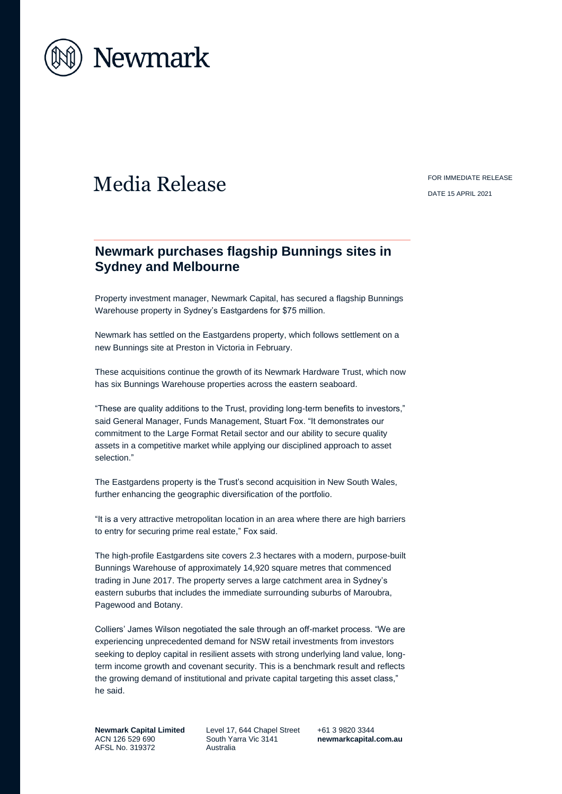

# Media Release FOR IMMEDIATE RELEASE

DATE 15 APRIL 2021

# **Newmark purchases flagship Bunnings sites in Sydney and Melbourne**

Property investment manager, Newmark Capital, has secured a flagship Bunnings Warehouse property in Sydney's Eastgardens for \$75 million.

Newmark has settled on the Eastgardens property, which follows settlement on a new Bunnings site at Preston in Victoria in February.

These acquisitions continue the growth of its Newmark Hardware Trust, which now has six Bunnings Warehouse properties across the eastern seaboard.

"These are quality additions to the Trust, providing long-term benefits to investors," said General Manager, Funds Management, Stuart Fox. "It demonstrates our commitment to the Large Format Retail sector and our ability to secure quality assets in a competitive market while applying our disciplined approach to asset selection."

The Eastgardens property is the Trust's second acquisition in New South Wales. further enhancing the geographic diversification of the portfolio.

"It is a very attractive metropolitan location in an area where there are high barriers to entry for securing prime real estate," Fox said.

The high-profile Eastgardens site covers 2.3 hectares with a modern, purpose-built Bunnings Warehouse of approximately 14,920 square metres that commenced trading in June 2017. The property serves a large catchment area in Sydney's eastern suburbs that includes the immediate surrounding suburbs of Maroubra, Pagewood and Botany.

Colliers' James Wilson negotiated the sale through an off-market process. "We are experiencing unprecedented demand for NSW retail investments from investors seeking to deploy capital in resilient assets with strong underlying land value, longterm income growth and covenant security. This is a benchmark result and reflects the growing demand of institutional and private capital targeting this asset class," he said.

**Newmark Capital Limited** ACN 126 529 690 AFSL No. 319372

Level 17, 644 Chapel Street South Yarra Vic 3141 Australia

+61 3 9820 3344 **[newmarkcapital.com.au](http://www.newmarkcapital.com.au/)**